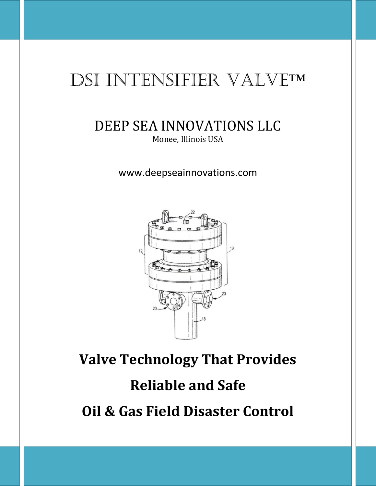## DSI INTENSIFIER VALVE™

#### DEEP SEA INNOVATIONS LLC Monee, Illinois USA

www.deepseainnovations.com



# **Valve Technology That Provides Reliable and Safe Oil & Gas Field Disaster Control**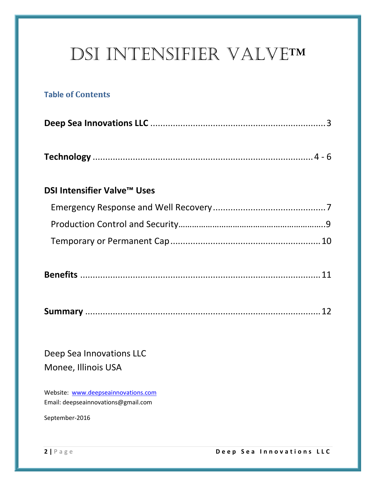## DSI INTENSIFIER VALVE™

#### **Table of Contents**

|--|

|--|--|--|--|

#### **DSI Intensifier Valve™ Uses**

|--|

|--|--|

Deep Sea Innovations LLC Monee, Illinois USA

Website: [www.deepseainnovations.com](http://www.deepseainnovations.com/) Email: deepseainnovations@gmail.com

September-2016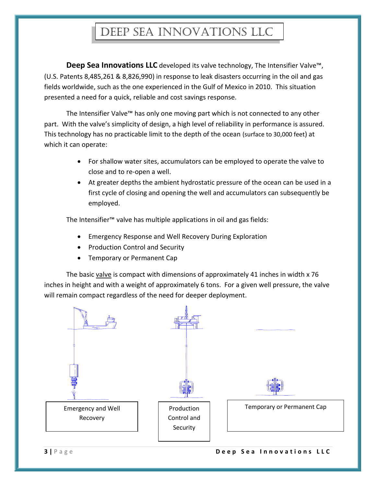## Deep sea innovations llc

**Deep Sea Innovations LLC** developed its valve technology, The Intensifier Valve™, (U.S. Patents 8,485,261 & 8,826,990) in response to leak disasters occurring in the oil and gas fields worldwide, such as the one experienced in the Gulf of Mexico in 2010. This situation presented a need for a quick, reliable and cost savings response.

The Intensifier Valve™ has only one moving part which is not connected to any other part. With the valve's simplicity of design, a high level of reliability in performance is assured. This technology has no practicable limit to the depth of the ocean (surface to 30,000 feet) at which it can operate:

- For shallow water sites, accumulators can be employed to operate the valve to close and to re-open a well.
- At greater depths the ambient hydrostatic pressure of the ocean can be used in a first cycle of closing and opening the well and accumulators can subsequently be employed.

The Intensifier™ valve has multiple applications in oil and gas fields:

- Emergency Response and Well Recovery During Exploration
- Production Control and Security
- **•** Temporary or Permanent Cap

The basic valve is compact with dimensions of approximately 41 inches in width x 76 inches in height and with a weight of approximately 6 tons. For a given well pressure, the valve will remain compact regardless of the need for deeper deployment.

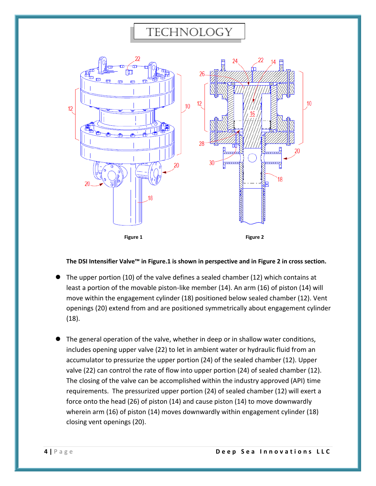#### technology



**The DSI Intensifier Valve™ in Figure.1 is shown in perspective and in Figure 2 in cross section.**

- The upper portion (10) of the valve defines a sealed chamber (12) which contains at least a portion of the movable piston-like member (14). An arm (16) of piston (14) will move within the engagement cylinder (18) positioned below sealed chamber (12). Vent openings (20) extend from and are positioned symmetrically about engagement cylinder (18).
- The general operation of the valve, whether in deep or in shallow water conditions, includes opening upper valve (22) to let in ambient water or hydraulic fluid from an accumulator to pressurize the upper portion (24) of the sealed chamber (12). Upper valve (22) can control the rate of flow into upper portion (24) of sealed chamber (12). The closing of the valve can be accomplished within the industry approved (API) time requirements. The pressurized upper portion (24) of sealed chamber (12) will exert a force onto the head (26) of piston (14) and cause piston (14) to move downwardly wherein arm (16) of piston (14) moves downwardly within engagement cylinder (18) closing vent openings (20).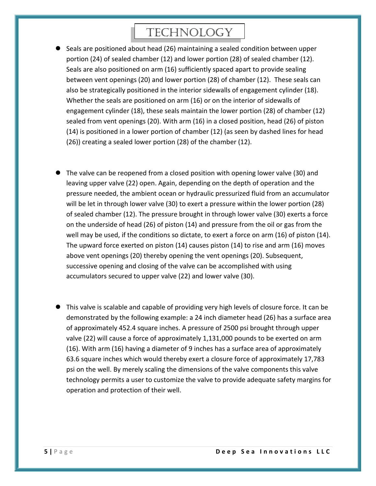## technology

- Seals are positioned about head (26) maintaining a sealed condition between upper portion (24) of sealed chamber (12) and lower portion (28) of sealed chamber (12). Seals are also positioned on arm (16) sufficiently spaced apart to provide sealing between vent openings (20) and lower portion (28) of chamber (12). These seals can also be strategically positioned in the interior sidewalls of engagement cylinder (18). Whether the seals are positioned on arm (16) or on the interior of sidewalls of engagement cylinder (18), these seals maintain the lower portion (28) of chamber (12) sealed from vent openings (20). With arm (16) in a closed position, head (26) of piston (14) is positioned in a lower portion of chamber (12) (as seen by dashed lines for head (26)) creating a sealed lower portion (28) of the chamber (12).
- The valve can be reopened from a closed position with opening lower valve (30) and leaving upper valve (22) open. Again, depending on the depth of operation and the pressure needed, the ambient ocean or hydraulic pressurized fluid from an accumulator will be let in through lower valve (30) to exert a pressure within the lower portion (28) of sealed chamber (12). The pressure brought in through lower valve (30) exerts a force on the underside of head (26) of piston (14) and pressure from the oil or gas from the well may be used, if the conditions so dictate, to exert a force on arm (16) of piston (14). The upward force exerted on piston (14) causes piston (14) to rise and arm (16) moves above vent openings (20) thereby opening the vent openings (20). Subsequent, successive opening and closing of the valve can be accomplished with using accumulators secured to upper valve (22) and lower valve (30).
- This valve is scalable and capable of providing very high levels of closure force. It can be demonstrated by the following example: a 24 inch diameter head (26) has a surface area of approximately 452.4 square inches. A pressure of 2500 psi brought through upper valve (22) will cause a force of approximately 1,131,000 pounds to be exerted on arm (16). With arm (16) having a diameter of 9 inches has a surface area of approximately 63.6 square inches which would thereby exert a closure force of approximately 17,783 psi on the well. By merely scaling the dimensions of the valve components this valve technology permits a user to customize the valve to provide adequate safety margins for operation and protection of their well.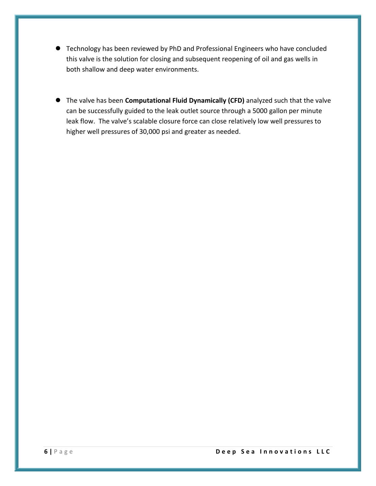- Technology has been reviewed by PhD and Professional Engineers who have concluded this valve is the solution for closing and subsequent reopening of oil and gas wells in both shallow and deep water environments.
- The valve has been **Computational Fluid Dynamically (CFD)** analyzed such that the valve can be successfully guided to the leak outlet source through a 5000 gallon per minute leak flow. The valve's scalable closure force can close relatively low well pressures to higher well pressures of 30,000 psi and greater as needed.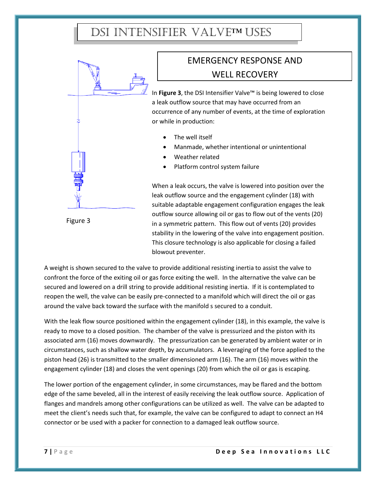### DSI INTENSIFIER VALVETMUSES



EMERGENCY RESPONSE AND WELL RECOVERY

In **Figure 3**, the DSI Intensifier Valve™ is being lowered to close a leak outflow source that may have occurred from an occurrence of any number of events, at the time of exploration or while in production:

- The well itself
- Manmade, whether intentional or unintentional
- Weather related
- Platform control system failure

When a leak occurs, the valve is lowered into position over the leak outflow source and the engagement cylinder (18) with suitable adaptable engagement configuration engages the leak outflow source allowing oil or gas to flow out of the vents (20) in a symmetric pattern. This flow out of vents (20) provides stability in the lowering of the valve into engagement position. This closure technology is also applicable for closing a failed blowout preventer.

A weight is shown secured to the valve to provide additional resisting inertia to assist the valve to confront the force of the exiting oil or gas force exiting the well. In the alternative the valve can be secured and lowered on a drill string to provide additional resisting inertia. If it is contemplated to reopen the well, the valve can be easily pre-connected to a manifold which will direct the oil or gas around the valve back toward the surface with the manifold s secured to a conduit.

With the leak flow source positioned within the engagement cylinder (18), in this example, the valve is ready to move to a closed position. The chamber of the valve is pressurized and the piston with its associated arm (16) moves downwardly. The pressurization can be generated by ambient water or in circumstances, such as shallow water depth, by accumulators. A leveraging of the force applied to the piston head (26) is transmitted to the smaller dimensioned arm (16). The arm (16) moves within the engagement cylinder (18) and closes the vent openings (20) from which the oil or gas is escaping.

The lower portion of the engagement cylinder, in some circumstances, may be flared and the bottom edge of the same beveled, all in the interest of easily receiving the leak outflow source. Application of flanges and mandrels among other configurations can be utilized as well. The valve can be adapted to meet the client's needs such that, for example, the valve can be configured to adapt to connect an H4 connector or be used with a packer for connection to a damaged leak outflow source.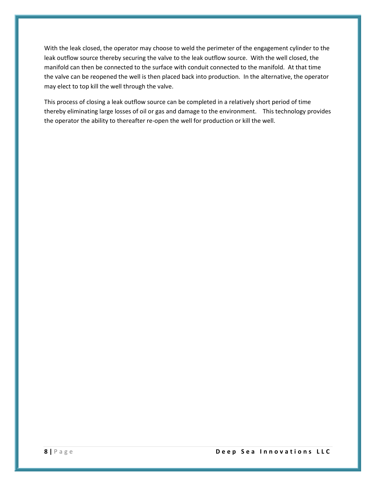With the leak closed, the operator may choose to weld the perimeter of the engagement cylinder to the leak outflow source thereby securing the valve to the leak outflow source. With the well closed, the manifold can then be connected to the surface with conduit connected to the manifold. At that time the valve can be reopened the well is then placed back into production. In the alternative, the operator may elect to top kill the well through the valve.

This process of closing a leak outflow source can be completed in a relatively short period of time thereby eliminating large losses of oil or gas and damage to the environment. This technology provides the operator the ability to thereafter re-open the well for production or kill the well.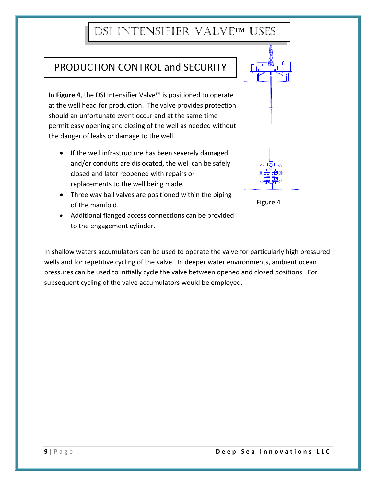### DSI INTENSIFIER VALVE™ USES

#### PRODUCTION CONTROL and SECURITY

In **Figure 4**, the DSI Intensifier Valve™ is positioned to operate at the well head for production. The valve provides protection should an unfortunate event occur and at the same time permit easy opening and closing of the well as needed without the danger of leaks or damage to the well.

- If the well infrastructure has been severely damaged and/or conduits are dislocated, the well can be safely closed and later reopened with repairs or replacements to the well being made.
- Three way ball valves are positioned within the piping of the manifold.
- Additional flanged access connections can be provided to the engagement cylinder.

In shallow waters accumulators can be used to operate the valve for particularly high pressured wells and for repetitive cycling of the valve. In deeper water environments, ambient ocean pressures can be used to initially cycle the valve between opened and closed positions. For subsequent cycling of the valve accumulators would be employed.



#### Figure 4

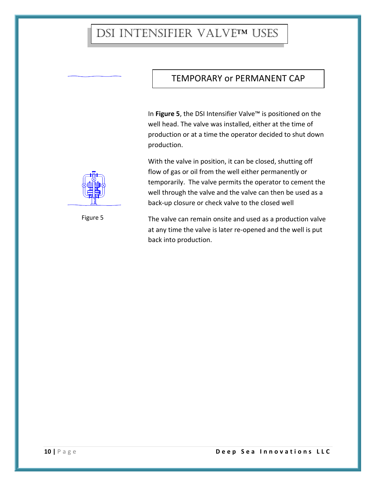#### DSI INTENSIFIER VALVE™ USES

#### TEMPORARY or PERMANENT CAP

In **Figure 5**, the DSI Intensifier Valve™ is positioned on the well head. The valve was installed, either at the time of production or at a time the operator decided to shut down production.

With the valve in position, it can be closed, shutting off flow of gas or oil from the well either permanently or temporarily. The valve permits the operator to cement the well through the valve and the valve can then be used as a back-up closure or check valve to the closed well

The valve can remain onsite and used as a production valve at any time the valve is later re-opened and the well is put back into production.



Figure 5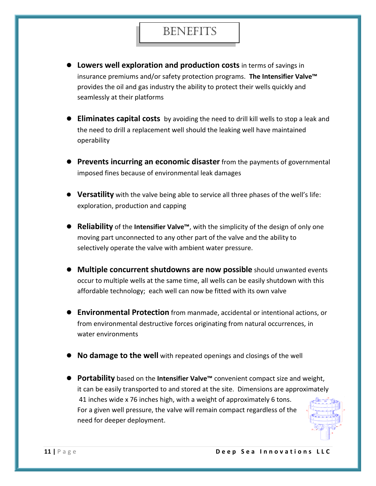#### **BENEFITS**

- **Lowers well exploration and production costs** in terms of savings in insurance premiums and/or safety protection programs. **The Intensifier Valve™** provides the oil and gas industry the ability to protect their wells quickly and seamlessly at their platforms
- **Eliminates capital costs** by avoiding the need to drill kill wells to stop a leak and the need to drill a replacement well should the leaking well have maintained operability
- **Prevents incurring an economic disaster** from the payments of governmental imposed fines because of environmental leak damages
- **Versatility** with the valve being able to service all three phases of the well's life: exploration, production and capping
- **Reliability** of the **Intensifier Valve™**, with the simplicity of the design of only one moving part unconnected to any other part of the valve and the ability to selectively operate the valve with ambient water pressure.
- **Multiple concurrent shutdowns are now possible** should unwanted events occur to multiple wells at the same time, all wells can be easily shutdown with this affordable technology; each well can now be fitted with its own valve
- **Environmental Protection** from manmade, accidental or intentional actions, or from environmental destructive forces originating from natural occurrences, in water environments
- **No damage to the well** with repeated openings and closings of the well
- **Portability** based on the **Intensifier Valve™** convenient compact size and weight, it can be easily transported to and stored at the site. Dimensions are approximately 41 inches wide x 76 inches high, with a weight of approximately 6 tons. For a given well pressure, the valve will remain compact regardless of the need for deeper deployment.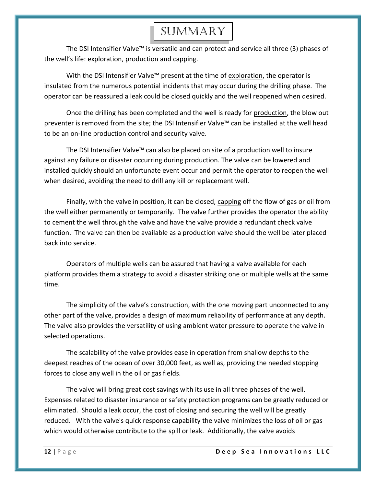#### **SUMMARY**

The DSI Intensifier Valve™ is versatile and can protect and service all three (3) phases of the well's life: exploration, production and capping.

With the DSI Intensifier Valve™ present at the time of exploration, the operator is insulated from the numerous potential incidents that may occur during the drilling phase. The operator can be reassured a leak could be closed quickly and the well reopened when desired.

Once the drilling has been completed and the well is ready for production, the blow out preventer is removed from the site; the DSI Intensifier Valve™ can be installed at the well head to be an on-line production control and security valve.

The DSI Intensifier Valve™ can also be placed on site of a production well to insure against any failure or disaster occurring during production. The valve can be lowered and installed quickly should an unfortunate event occur and permit the operator to reopen the well when desired, avoiding the need to drill any kill or replacement well.

Finally, with the valve in position, it can be closed, capping off the flow of gas or oil from the well either permanently or temporarily. The valve further provides the operator the ability to cement the well through the valve and have the valve provide a redundant check valve function. The valve can then be available as a production valve should the well be later placed back into service.

Operators of multiple wells can be assured that having a valve available for each platform provides them a strategy to avoid a disaster striking one or multiple wells at the same time.

The simplicity of the valve's construction, with the one moving part unconnected to any other part of the valve, provides a design of maximum reliability of performance at any depth. The valve also provides the versatility of using ambient water pressure to operate the valve in selected operations.

The scalability of the valve provides ease in operation from shallow depths to the deepest reaches of the ocean of over 30,000 feet, as well as, providing the needed stopping forces to close any well in the oil or gas fields.

The valve will bring great cost savings with its use in all three phases of the well. Expenses related to disaster insurance or safety protection programs can be greatly reduced or eliminated. Should a leak occur, the cost of closing and securing the well will be greatly reduced. With the valve's quick response capability the valve minimizes the loss of oil or gas which would otherwise contribute to the spill or leak. Additionally, the valve avoids